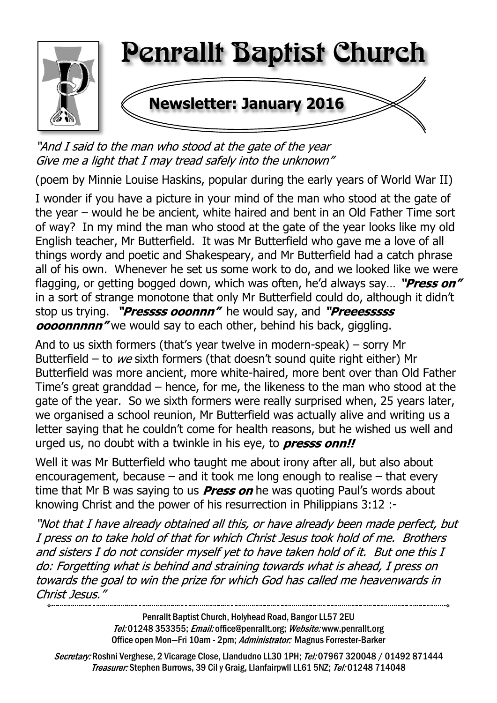

"And I said to the man who stood at the gate of the year Give me a light that I may tread safely into the unknown"

(poem by Minnie Louise Haskins, popular during the early years of World War II)

I wonder if you have a picture in your mind of the man who stood at the gate of the year – would he be ancient, white haired and bent in an Old Father Time sort of way? In my mind the man who stood at the gate of the year looks like my old English teacher, Mr Butterfield. It was Mr Butterfield who gave me a love of all things wordy and poetic and Shakespeary, and Mr Butterfield had a catch phrase all of his own. Whenever he set us some work to do, and we looked like we were flagging, or getting bogged down, which was often, he'd always say... "Press on" in a sort of strange monotone that only Mr Butterfield could do, although it didn't stop us trying. "*Pressss ooonnn*" he would say, and "*Preeesssss* **ocoonnnnn**" we would say to each other, behind his back, giggling.

And to us sixth formers (that's year twelve in modern-speak) – sorry Mr Butterfield – to we sixth formers (that doesn't sound quite right either) Mr Butterfield was more ancient, more white-haired, more bent over than Old Father Time's great granddad – hence, for me, the likeness to the man who stood at the gate of the year. So we sixth formers were really surprised when, 25 years later, we organised a school reunion, Mr Butterfield was actually alive and writing us a letter saying that he couldn't come for health reasons, but he wished us well and urged us, no doubt with a twinkle in his eye, to **presss onn!!** 

Well it was Mr Butterfield who taught me about irony after all, but also about encouragement, because – and it took me long enough to realise – that every time that Mr B was saying to us **Press on** he was quoting Paul's words about knowing Christ and the power of his resurrection in Philippians 3:12 :-

"Not that I have already obtained all this, or have already been made perfect, but I press on to take hold of that for which Christ Jesus took hold of me. Brothers and sisters I do not consider myself yet to have taken hold of it. But one this I do: Forgetting what is behind and straining towards what is ahead, I press on towards the goal to win the prize for which God has called me heavenwards in Christ Jesus."

> Penrallt Baptist Church, Holyhead Road, Bangor LL57 2EU Tel:01248 353355; Email: office@penrallt.org; Website: www.penrallt.org Office open Mon-Fri 10am - 2pm: Administrator: Magnus Forrester-Barker

Secretary: Roshni Verghese, 2 Vicarage Close, Llandudno LL30 1PH; Tel: 07967 320048 / 01492 871444 Treasurer: Stephen Burrows, 39 Cil y Graig, Llanfairpwll LL61 5NZ; Tel: 01248 714048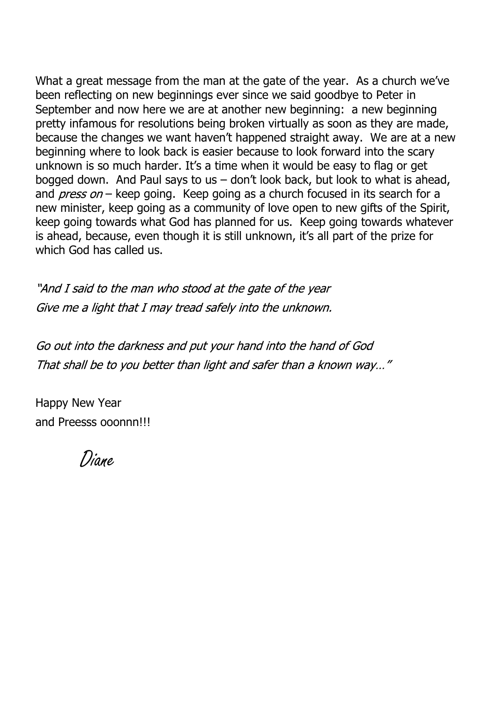What a great message from the man at the gate of the year. As a church we've been reflecting on new beginnings ever since we said goodbye to Peter in September and now here we are at another new beginning: a new beginning pretty infamous for resolutions being broken virtually as soon as they are made, because the changes we want haven't happened straight away. We are at a new beginning where to look back is easier because to look forward into the scary unknown is so much harder. It's a time when it would be easy to flag or get bogged down. And Paul says to us – don't look back, but look to what is ahead, and  $press on - keep going$ . Keep going as a church focused in its search for a new minister, keep going as a community of love open to new gifts of the Spirit, keep going towards what God has planned for us. Keep going towards whatever is ahead, because, even though it is still unknown, it's all part of the prize for which God has called us.

"And I said to the man who stood at the gate of the year Give me a light that I may tread safely into the unknown.

Go out into the darkness and put your hand into the hand of God That shall be to you better than light and safer than a known way..."

Happy New Year and Preesss ooonnn!!!

Diane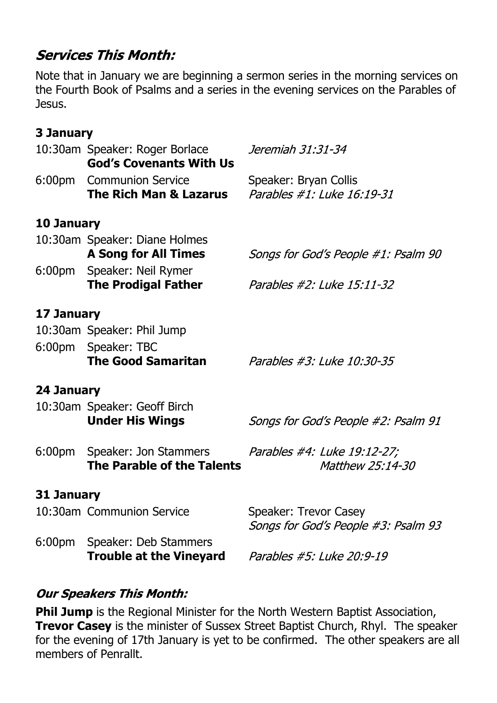# **Services This Month:**

Note that in January we are beginning a sermon series in the morning services on the Fourth Book of Psalms and a series in the evening services on the Parables of Jesus.

### **3 January**

|                   | 10:30am Speaker: Roger Borlace<br><b>God's Covenants With Us</b> | Jeremiah 31:31-34                                            |  |  |  |
|-------------------|------------------------------------------------------------------|--------------------------------------------------------------|--|--|--|
|                   | 6:00pm Communion Service<br>The Rich Man & Lazarus               | Speaker: Bryan Collis<br>Parables #1: Luke 16:19-31          |  |  |  |
| <b>10 January</b> |                                                                  |                                                              |  |  |  |
|                   | 10:30am Speaker: Diane Holmes<br><b>A Song for All Times</b>     | Songs for God's People #1: Psalm 90                          |  |  |  |
|                   | 6:00pm Speaker: Neil Rymer<br><b>The Prodigal Father</b>         | Parables #2: Luke 15:11-32                                   |  |  |  |
| 17 January        |                                                                  |                                                              |  |  |  |
|                   | 10:30am Speaker: Phil Jump                                       |                                                              |  |  |  |
|                   | 6:00pm Speaker: TBC<br><b>The Good Samaritan</b>                 | Parables #3: Luke 10:30-35                                   |  |  |  |
| 24 January        |                                                                  |                                                              |  |  |  |
|                   | 10:30am Speaker: Geoff Birch<br><b>Under His Wings</b>           | Songs for God's People #2: Psalm 91                          |  |  |  |
|                   | 6:00pm Speaker: Jon Stammers<br>The Parable of the Talents       | Parables #4: Luke 19:12-27;<br>Matthew 25:14-30              |  |  |  |
| 31 January        |                                                                  |                                                              |  |  |  |
|                   | 10:30am Communion Service                                        | Speaker: Trevor Casey<br>Songs for God's People #3: Psalm 93 |  |  |  |
|                   | 6:00pm Speaker: Deb Stammers<br><b>Trouble at the Vineyard</b>   | Parables #5: Luke 20:9-19                                    |  |  |  |

### **Our Speakers This Month:**

**Phil Jump** is the Regional Minister for the North Western Baptist Association, **Trevor Casey** is the minister of Sussex Street Baptist Church, Rhyl. The speaker for the evening of 17th January is yet to be confirmed. The other speakers are all members of Penrallt.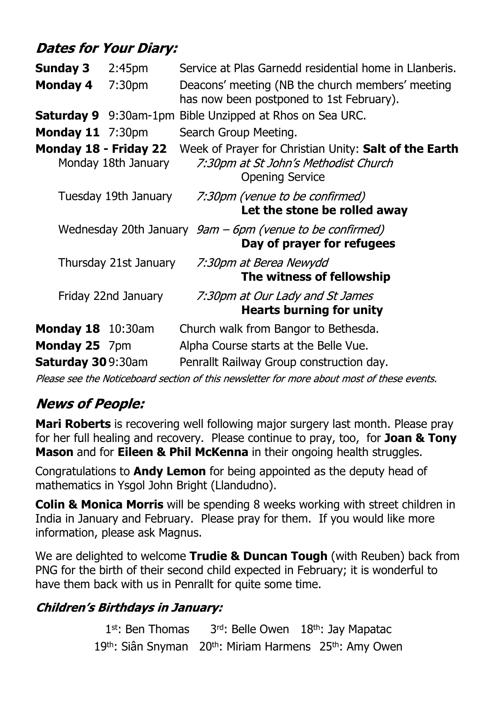# **Dates for Your Diary:**

| <b>Sunday 3</b>                                                               | 2:45 <sub>pm</sub>    | Service at Plas Garnedd residential home in Llanberis.                                                                    |
|-------------------------------------------------------------------------------|-----------------------|---------------------------------------------------------------------------------------------------------------------------|
| <b>Monday 4</b>                                                               | 7:30 <sub>pm</sub>    | Deacons' meeting (NB the church members' meeting<br>has now been postponed to 1st February).                              |
| Saturday 9                                                                    |                       | 9:30am-1pm Bible Unzipped at Rhos on Sea URC.                                                                             |
| <b>Monday 11</b> 7:30pm                                                       |                       | Search Group Meeting.                                                                                                     |
| Monday 18 - Friday 22                                                         | Monday 18th January   | Week of Prayer for Christian Unity: Salt of the Earth<br>7:30pm at St John's Methodist Church<br><b>Opening Service</b>   |
|                                                                               | Tuesday 19th January  | 7:30pm (venue to be confirmed)<br>Let the stone be rolled away                                                            |
|                                                                               |                       | Wednesday 20th January $9am - 6pm$ (venue to be confirmed)<br>Day of prayer for refugees                                  |
|                                                                               | Thursday 21st January | 7:30pm at Berea Newydd<br>The witness of fellowship                                                                       |
|                                                                               | Friday 22nd January   | 7:30pm at Our Lady and St James<br><b>Hearts burning for unity</b>                                                        |
| <b>Monday 18</b> 10:30am<br><b>Monday 25</b> 7pm<br><b>Saturday 30</b> 9:30am |                       | Church walk from Bangor to Bethesda.<br>Alpha Course starts at the Belle Vue.<br>Penrallt Railway Group construction day. |

Please see the Noticeboard section of this newsletter for more about most of these events.

# **News of People:**

**Mari Roberts** is recovering well following major surgery last month. Please pray for her full healing and recovery. Please continue to pray, too, for **Joan & Tony Mason** and for **Eileen & Phil McKenna** in their ongoing health struggles.

Congratulations to **Andy Lemon** for being appointed as the deputy head of mathematics in Ysgol John Bright (Llandudno).

**Colin & Monica Morris** will be spending 8 weeks working with street children in India in January and February. Please pray for them. If you would like more information, please ask Magnus.

We are delighted to welcome **Trudie & Duncan Tough** (with Reuben) back from PNG for the birth of their second child expected in February; it is wonderful to have them back with us in Penrallt for quite some time.

### **Children's Birthdays in January:**

1st: Ben Thomas  $3<sup>rd</sup>$ : Belle Owen  $18<sup>th</sup>$ : Jay Mapatac 19th: Siân Snyman 20th: Miriam Harmens 25th: Amy Owen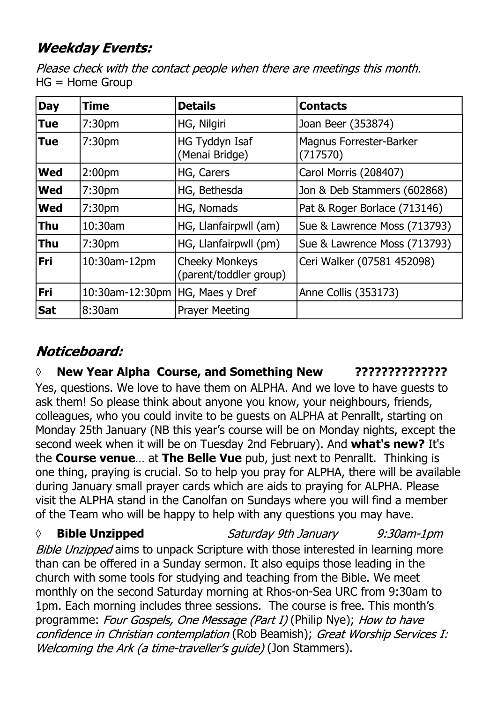# **Weekday Events:**

Please check with the contact people when there are meetings this month. HG = Home Group

| <b>Day</b> | <b>Time</b>        | <b>Details</b>                                  | <b>Contacts</b>                            |
|------------|--------------------|-------------------------------------------------|--------------------------------------------|
| <b>Tue</b> | 7:30 <sub>pm</sub> | HG, Nilgiri                                     | Joan Beer (353874)                         |
| <b>Tue</b> | 7:30 <sub>pm</sub> | <b>HG Tyddyn Isaf</b><br>(Menai Bridge)         | <b>Magnus Forrester-Barker</b><br>(717570) |
| <b>Wed</b> | 2:00 <sub>pm</sub> | HG, Carers                                      | Carol Morris (208407)                      |
| <b>Wed</b> | 7:30 <sub>pm</sub> | HG, Bethesda                                    | Jon & Deb Stammers (602868)                |
| <b>Wed</b> | 7:30 <sub>pm</sub> | HG, Nomads                                      | Pat & Roger Borlace (713146)               |
| <b>Thu</b> | 10:30am            | HG, Llanfairpwll (am)                           | Sue & Lawrence Moss (713793)               |
| <b>Thu</b> | 7:30 <sub>pm</sub> | HG, Llanfairpwll (pm)                           | Sue & Lawrence Moss (713793)               |
| <b>Fri</b> | 10:30am-12pm       | <b>Cheeky Monkeys</b><br>(parent/toddler group) | Ceri Walker (07581 452098)                 |
| Fri        | 10:30am-12:30pm    | HG, Maes y Dref                                 | Anne Collis (353173)                       |
| <b>Sat</b> | 8:30am             | <b>Prayer Meeting</b>                           |                                            |

# Noticeboard:

**◊ New Year Alpha Course, and Something New ??????????????**

Yes, questions. We love to have them on ALPHA. And we love to have guests to ask them! So please think about anyone you know, your neighbours, friends, colleagues, who you could invite to be guests on ALPHA at Penrallt, starting on Monday 25th January (NB this year's course will be on Monday nights, except the second week when it will be on Tuesday 2nd February). And **what's new?** It's the **Course venue**… at **The Belle Vue** pub, just next to Penrallt. Thinking is one thing, praying is crucial. So to help you pray for ALPHA, there will be available during January small prayer cards which are aids to praying for ALPHA. Please visit the ALPHA stand in the Canolfan on Sundays where you will find a member of the Team who will be happy to help with any questions you may have.

**◊ Bible Unzipped** Saturday 9th January  $9:30$ am-1 $pm$ Bible Unzipped aims to unpack Scripture with those interested in learning more than can be offered in a Sunday sermon. It also equips those leading in the church with some tools for studying and teaching from the Bible. We meet monthly on the second Saturday morning at Rhos-on-Sea URC from 9:30am to 1pm. Each morning includes three sessions. The course is free. This month's programme: Four Gospels, One Message (Part I) (Philip Nye); How to have confidence in Christian contemplation (Rob Beamish); Great Worship Services I: Welcoming the Ark (a time-traveller's quide) (Jon Stammers).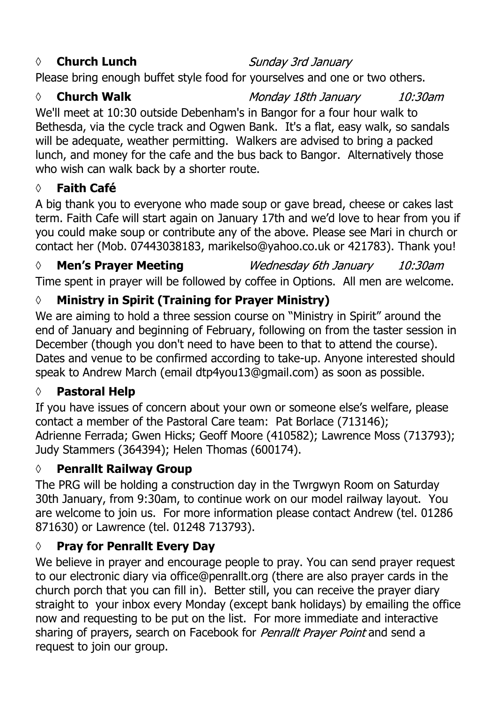### *◊* **Church Lunch**

Sunday 3rd January

Please bring enough buffet style food for yourselves and one or two others.

#### *◊* **Church Walk**

Monday 18th January  $10:30$ am

10:30am

We'll meet at 10:30 outside Debenham's in Bangor for a four hour walk to Bethesda, via the cycle track and Ogwen Bank. It's a flat, easy walk, so sandals will be adequate, weather permitting. Walkers are advised to bring a packed lunch, and money for the cafe and the bus back to Bangor. Alternatively those who wish can walk back by a shorter route.

#### **◊ Faith Café**

A big thank you to everyone who made soup or gave bread, cheese or cakes last term. Faith Cafe will start again on January 17th and we'd love to hear from you if you could make soup or contribute any of the above. Please see Mari in church or contact her (Mob. 07443038183, marikelso@yahoo.co.uk or 421783). Thank you!

#### *◊* **Men's Prayer Meeting** Wednesday 6th January

Time spent in prayer will be followed by coffee in Options. All men are welcome.

### **◊ Ministry in Spirit (Training for Prayer Ministry)**

We are aiming to hold a three session course on "Ministry in Spirit" around the end of January and beginning of February, following on from the taster session in December (though you don't need to have been to that to attend the course). Dates and venue to be confirmed according to take-up. Anyone interested should speak to Andrew March (email dtp4you13@gmail.com) as soon as possible.

#### **◊ Pastoral Help**

If you have issues of concern about your own or someone else's welfare, please contact a member of the Pastoral Care team: Pat Borlace (713146); Adrienne Ferrada; Gwen Hicks; Geoff Moore (410582); Lawrence Moss (713793); Judy Stammers (364394); Helen Thomas (600174).

#### **◊ Penrallt Railway Group**

The PRG will be holding a construction day in the Twrgwyn Room on Saturday 30th January, from 9:30am, to continue work on our model railway layout. You are welcome to join us. For more information please contact Andrew (tel. 01286 871630) or Lawrence (tel. 01248 713793).

### **◊ Pray for Penrallt Every Day**

We believe in prayer and encourage people to pray. You can send prayer request to our electronic diary via office@penrallt.org (there are also prayer cards in the church porch that you can fill in). Better still, you can receive the prayer diary straight to your inbox every Monday (except bank holidays) by emailing the office now and requesting to be put on the list. For more immediate and interactive sharing of prayers, search on Facebook for *Penrallt Prayer Point* and send a request to join our group.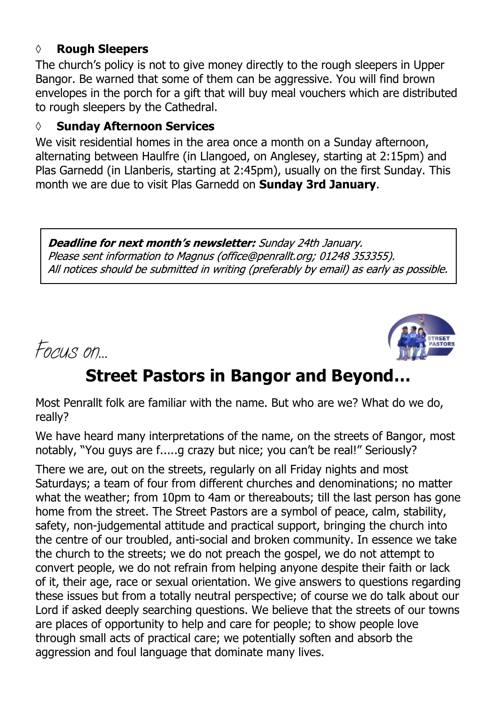#### **◊ Rough Sleepers**

The church's policy is not to give money directly to the rough sleepers in Upper Bangor. Be warned that some of them can be aggressive. You will find brown envelopes in the porch for a gift that will buy meal vouchers which are distributed to rough sleepers by the Cathedral.

#### **◊ Sunday Afternoon Services**

We visit residential homes in the area once a month on a Sunday afternoon, alternating between Haulfre (in Llangoed, on Anglesey, starting at 2:15pm) and Plas Garnedd (in Llanberis, starting at 2:45pm), usually on the first Sunday. This month we are due to visit Plas Garnedd on **Sunday 3rd January**.

Deadline for next month's newsletter: Sunday 24th January. Please sent information to Magnus (office@penrallt.org; 01248 353355). All notices should be submitted in writing (preferably by email) as early as possible.





# **Street Pastors in Bangor and Beyond…**

Most Penrallt folk are familiar with the name. But who are we? What do we do, really?

We have heard many interpretations of the name, on the streets of Bangor, most notably, "You guys are f.....g crazy but nice; you can't be real!" Seriously?

There we are, out on the streets, regularly on all Friday nights and most Saturdays; a team of four from different churches and denominations; no matter what the weather; from 10pm to 4am or thereabouts; till the last person has gone home from the street. The Street Pastors are a symbol of peace, calm, stability, safety, non-judgemental attitude and practical support, bringing the church into the centre of our troubled, anti-social and broken community. In essence we take the church to the streets; we do not preach the gospel, we do not attempt to convert people, we do not refrain from helping anyone despite their faith or lack of it, their age, race or sexual orientation. We give answers to questions regarding these issues but from a totally neutral perspective; of course we do talk about our Lord if asked deeply searching questions. We believe that the streets of our towns are places of opportunity to help and care for people; to show people love through small acts of practical care; we potentially soften and absorb the aggression and foul language that dominate many lives.